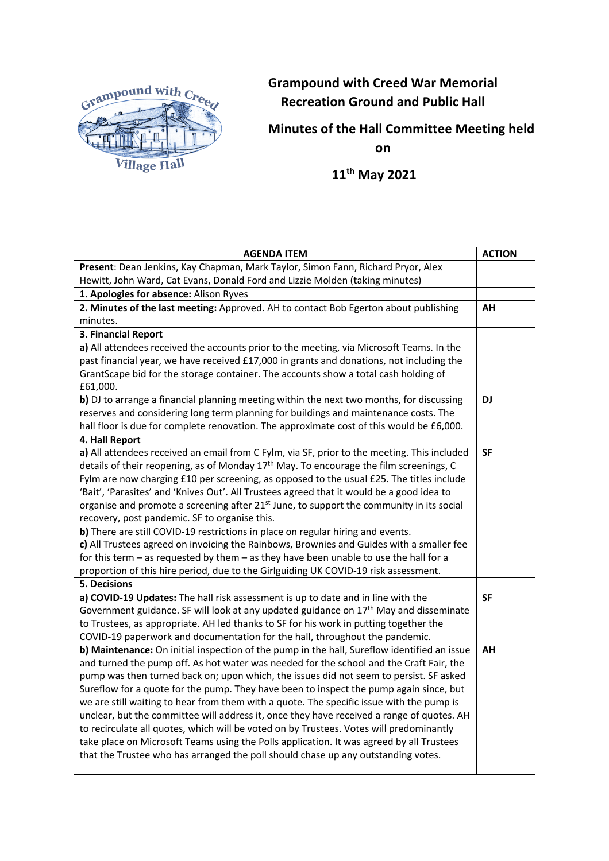

## **Grampound with Creed War Memorial Recreation Ground and Public Hall**

**Minutes of the Hall Committee Meeting held on**

 **11th May 2021**

| <b>AGENDA ITEM</b>                                                                                   | <b>ACTION</b> |
|------------------------------------------------------------------------------------------------------|---------------|
| Present: Dean Jenkins, Kay Chapman, Mark Taylor, Simon Fann, Richard Pryor, Alex                     |               |
| Hewitt, John Ward, Cat Evans, Donald Ford and Lizzie Molden (taking minutes)                         |               |
| 1. Apologies for absence: Alison Ryves                                                               |               |
| 2. Minutes of the last meeting: Approved. AH to contact Bob Egerton about publishing                 | ΑН            |
| minutes.                                                                                             |               |
| 3. Financial Report                                                                                  |               |
| a) All attendees received the accounts prior to the meeting, via Microsoft Teams. In the             |               |
| past financial year, we have received £17,000 in grants and donations, not including the             |               |
| GrantScape bid for the storage container. The accounts show a total cash holding of                  |               |
| £61,000.                                                                                             |               |
| b) DJ to arrange a financial planning meeting within the next two months, for discussing             | DJ            |
| reserves and considering long term planning for buildings and maintenance costs. The                 |               |
| hall floor is due for complete renovation. The approximate cost of this would be £6,000.             |               |
| 4. Hall Report                                                                                       |               |
| a) All attendees received an email from C Fylm, via SF, prior to the meeting. This included          | <b>SF</b>     |
| details of their reopening, as of Monday $17th$ May. To encourage the film screenings, C             |               |
| Fylm are now charging £10 per screening, as opposed to the usual £25. The titles include             |               |
| 'Bait', 'Parasites' and 'Knives Out'. All Trustees agreed that it would be a good idea to            |               |
| organise and promote a screening after 21 <sup>st</sup> June, to support the community in its social |               |
| recovery, post pandemic. SF to organise this.                                                        |               |
| b) There are still COVID-19 restrictions in place on regular hiring and events.                      |               |
| c) All Trustees agreed on invoicing the Rainbows, Brownies and Guides with a smaller fee             |               |
| for this term - as requested by them - as they have been unable to use the hall for a                |               |
| proportion of this hire period, due to the Girlguiding UK COVID-19 risk assessment.                  |               |
| <b>5. Decisions</b>                                                                                  |               |
| a) COVID-19 Updates: The hall risk assessment is up to date and in line with the                     | SF            |
| Government guidance. SF will look at any updated guidance on 17 <sup>th</sup> May and disseminate    |               |
| to Trustees, as appropriate. AH led thanks to SF for his work in putting together the                |               |
| COVID-19 paperwork and documentation for the hall, throughout the pandemic.                          |               |
| b) Maintenance: On initial inspection of the pump in the hall, Sureflow identified an issue          | AН            |
| and turned the pump off. As hot water was needed for the school and the Craft Fair, the              |               |
| pump was then turned back on; upon which, the issues did not seem to persist. SF asked               |               |
| Sureflow for a quote for the pump. They have been to inspect the pump again since, but               |               |
| we are still waiting to hear from them with a quote. The specific issue with the pump is             |               |
| unclear, but the committee will address it, once they have received a range of quotes. AH            |               |
| to recirculate all quotes, which will be voted on by Trustees. Votes will predominantly              |               |
| take place on Microsoft Teams using the Polls application. It was agreed by all Trustees             |               |
| that the Trustee who has arranged the poll should chase up any outstanding votes.                    |               |